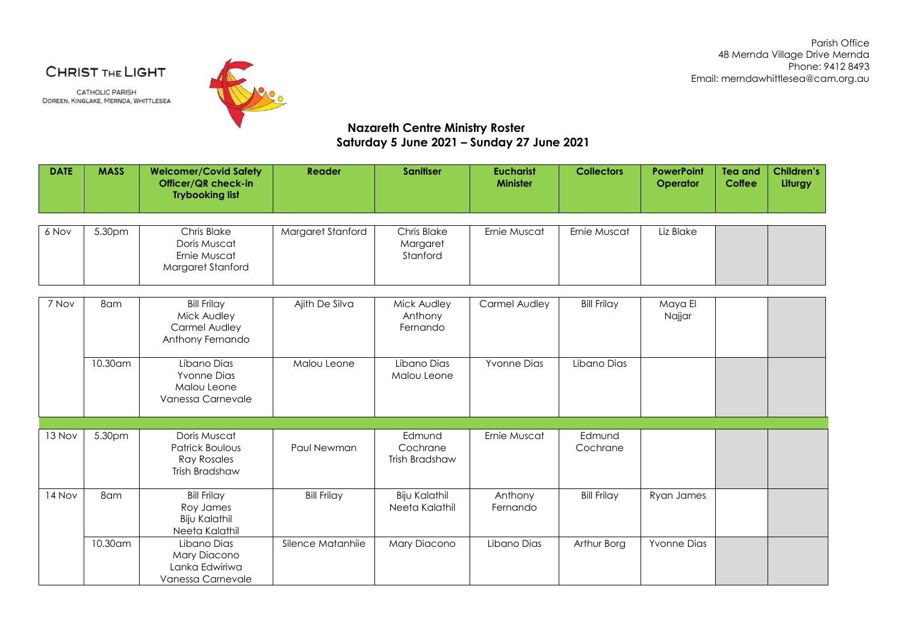Parish Office 48 Mernda Village Drive Mernda Phone: 9412 8493 Email: merndawhittlesea@cam.org.au

CHRIST THE LIGHT

**CATHOLIC PARISH** DOREEN, KINGLAKE, MERNDA, WHITTLESEA



**Nazareth Centre Ministry Roster Saturday 5 June 2021 – Sunday 27 June 2021**

| <b>DATE</b> | <b>MASS</b> | <b>Welcomer/Covid Safety</b><br>Officer/QR check-in<br><b>Trybooking list</b>  | Reader             | <b>Sanitiser</b>                       | <b>Eucharist</b><br><b>Minister</b> | <b>Collectors</b>  | <b>PowerPoint</b><br>Operator | Tea and<br><b>Coffee</b> | <b>Children's</b><br>Liturgy |
|-------------|-------------|--------------------------------------------------------------------------------|--------------------|----------------------------------------|-------------------------------------|--------------------|-------------------------------|--------------------------|------------------------------|
|             |             |                                                                                |                    |                                        |                                     |                    |                               |                          |                              |
| 6 Nov       | 5.30pm      | Chris Blake<br>Doris Muscat<br>Ernie Muscat<br>Margaret Stanford               | Margaret Stanford  | Chris Blake<br>Margaret<br>Stanford    | Ernie Muscat                        | Ernie Muscat       | Liz Blake                     |                          |                              |
|             |             |                                                                                |                    |                                        |                                     |                    |                               |                          |                              |
| 7 Nov       | 8am         | <b>Bill Frilay</b><br>Mick Audley<br>Carmel Audley<br>Anthony Fernando         | Ajith De Silva     | Mick Audley<br>Anthony<br>Fernando     | Carmel Audley                       | <b>Bill Frilay</b> | Maya El<br>Najjar             |                          |                              |
|             | 10.30am     | Libano Dias<br><b>Yvonne Dias</b><br>Malou Leone<br>Vanessa Carnevale          | Malou Leone        | Libano Dias<br>Malou Leone             | <b>Yvonne Dias</b>                  | Libano Dias        |                               |                          |                              |
|             |             |                                                                                |                    |                                        |                                     |                    |                               |                          |                              |
| 13 Nov      | 5.30pm      | Doris Muscat<br><b>Patrick Boulous</b><br><b>Ray Rosales</b><br>Trish Bradshaw | Paul Newman        | Edmund<br>Cochrane<br>Trish Bradshaw   | Ernie Muscat                        | Edmund<br>Cochrane |                               |                          |                              |
| 14 Nov      | 8am         | <b>Bill Frilay</b><br>Roy James<br><b>Biju Kalathil</b><br>Neeta Kalathil      | <b>Bill Frilay</b> | <b>Biju Kalathil</b><br>Neeta Kalathil | Anthony<br>Fernando                 | <b>Bill Frilay</b> | Ryan James                    |                          |                              |
|             | 10.30am     | Libano Dias<br>Mary Diacono<br>Lanka Edwiriwa<br>Vanessa Carnevale             | Silence Matanhiie  | Mary Diacono                           | Libano Dias                         | Arthur Borg        | <b>Yvonne Dias</b>            |                          |                              |